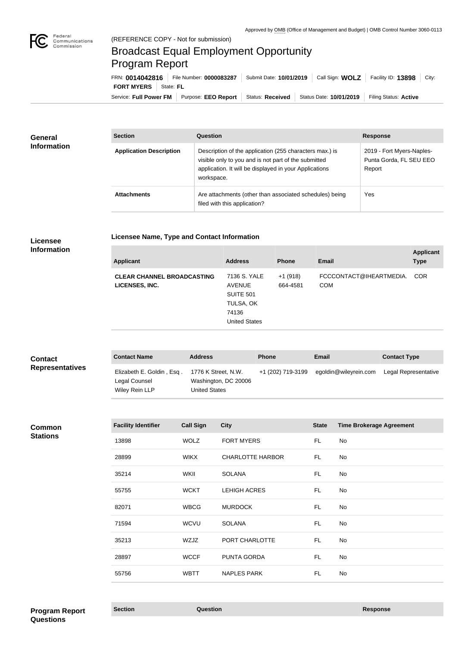

# Broadcast Equal Employment Opportunity Program Report

**Licensee Name, Type and Contact Information**

Service: Full Power FM Purpose: EEO Report | Status: Received | Status Date: 10/01/2019 | Filing Status: Active **FORT MYERS** State: FL FRN: **0014042816** File Number: **0000083287** Submit Date: **10/01/2019** Call Sign: **WOLZ** Facility ID: **13898** City:

| <b>General</b><br><b>Information</b> | <b>Section</b>                 | Question                                                                                                                                                                                | <b>Response</b>                                                |
|--------------------------------------|--------------------------------|-----------------------------------------------------------------------------------------------------------------------------------------------------------------------------------------|----------------------------------------------------------------|
|                                      | <b>Application Description</b> | Description of the application (255 characters max.) is<br>visible only to you and is not part of the submitted<br>application. It will be displayed in your Applications<br>workspace. | 2019 - Fort Myers-Naples-<br>Punta Gorda, FL SEU EEO<br>Report |
|                                      | <b>Attachments</b>             | Are attachments (other than associated schedules) being<br>filed with this application?                                                                                                 | Yes                                                            |

## **Licensee Information**

| <b>Applicant</b>                                    | <b>Address</b>                                                                           | <b>Phone</b>          | <b>Email</b>                          | <b>Applicant</b><br><b>Type</b> |
|-----------------------------------------------------|------------------------------------------------------------------------------------------|-----------------------|---------------------------------------|---------------------------------|
| <b>CLEAR CHANNEL BROADCASTING</b><br>LICENSES, INC. | 7136 S. YALE<br><b>AVENUE</b><br>SUITE 501<br>TULSA, OK<br>74136<br><b>United States</b> | $+1(918)$<br>664-4581 | FCCCONTACT@IHEARTMEDIA.<br><b>COM</b> | <b>COR</b>                      |
|                                                     |                                                                                          |                       |                                       |                                 |

| <b>Contact</b><br><b>Representatives</b> | <b>Contact Name</b>                                          | <b>Address</b>                                                      | <b>Phone</b>      | Email                 | <b>Contact Type</b>  |
|------------------------------------------|--------------------------------------------------------------|---------------------------------------------------------------------|-------------------|-----------------------|----------------------|
|                                          | Elizabeth E. Goldin, Esq.<br>Legal Counsel<br>Wiley Rein LLP | 1776 K Street, N.W.<br>Washington, DC 20006<br><b>United States</b> | +1 (202) 719-3199 | egoldin@wileyrein.com | Legal Representative |

#### **Common Stations**

| <b>Facility Identifier</b> | <b>Call Sign</b> | <b>City</b>             | <b>State</b> | <b>Time Brokerage Agreement</b> |
|----------------------------|------------------|-------------------------|--------------|---------------------------------|
| 13898                      | <b>WOLZ</b>      | <b>FORT MYERS</b>       | FL.          | No                              |
| 28899                      | <b>WIKX</b>      | <b>CHARLOTTE HARBOR</b> | FL.          | No                              |
| 35214                      | WKII             | <b>SOLANA</b>           | FL.          | No                              |
| 55755                      | <b>WCKT</b>      | <b>LEHIGH ACRES</b>     | <b>FL</b>    | No                              |
| 82071                      | <b>WBCG</b>      | <b>MURDOCK</b>          | <b>FL</b>    | No                              |
| 71594                      | <b>WCVU</b>      | <b>SOLANA</b>           | FL.          | No                              |
| 35213                      | WZJZ             | PORT CHARLOTTE          | FL.          | No                              |
| 28897                      | <b>WCCF</b>      | PUNTA GORDA             | <b>FL</b>    | No                              |
| 55756                      | <b>WBTT</b>      | <b>NAPLES PARK</b>      | <b>FL</b>    | No                              |